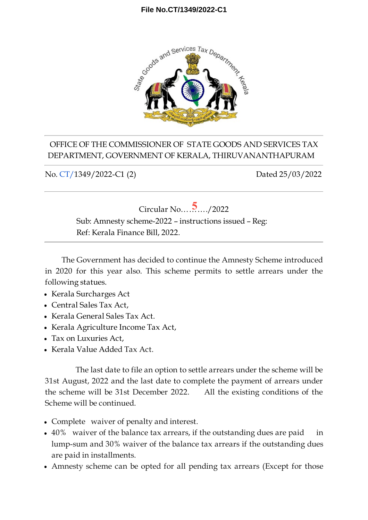## **File No.CT/1349/2022-C1**



## OFFICE OF THE COMMISSIONER OF STATE GOODS AND SERVICES TAX DEPARTMENT, GOVERNMENT OF KERALA, THIRUVANANTHAPURAM

No. CT/1349/2022-C1 (2) Dated 25/03/2022



The Government has decided to continue the Amnesty Scheme introduced in 2020 for this year also. This scheme permits to settle arrears under the following statues.

- Kerala Surcharges Act
- Central Sales Tax Act,
- Kerala General Sales Tax Act.
- Kerala Agriculture Income Tax Act,
- Tax on Luxuries Act,
- Kerala Value Added Tax Act.

The last date to file an option to settle arrears under the scheme will be 31st August, 2022 and the last date to complete the payment of arrears under the scheme will be 31st December 2022. All the existing conditions of the Scheme will be continued.

- Complete waiver of penalty and interest.
- 40% waiver of the balance tax arrears, if the outstanding dues are paid in lump-sum and 30% waiver of the balance tax arrears if the outstanding dues are paid in installments.
- Amnesty scheme can be opted for all pending tax arrears (Except for those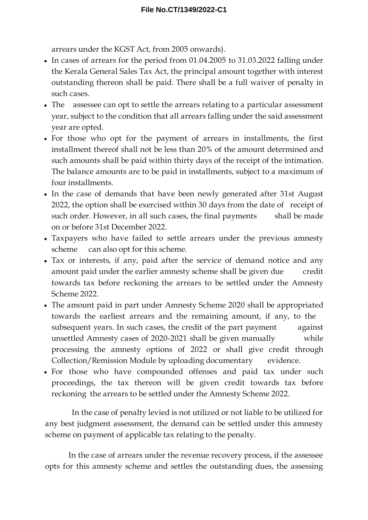arrears under the KGST Act, from 2005 onwards).

- In cases of arrears for the period from 01.04.2005 to 31.03.2022 falling under the Kerala General Sales Tax Act, the principal amount together with interest outstanding thereon shall be paid. There shall be a full waiver of penalty in such cases.
- The assessee can opt to settle the arrears relating to a particular assessment year, subject to the condition that all arrears falling under the said assessment year are opted.
- For those who opt for the payment of arrears in installments, the first installment thereof shall not be less than 20% of the amount determined and such amounts shall be paid within thirty days of the receipt of the intimation. The balance amounts are to be paid in installments, subject to a maximum of four installments.
- In the case of demands that have been newly generated after 31st August 2022, the option shall be exercised within 30 days from the date of receipt of such order. However, in all such cases, the final payments shall be made on or before 31st December 2022.
- Taxpayers who have failed to settle arrears under the previous amnesty scheme can also opt for this scheme.
- Tax or interests, if any, paid after the service of demand notice and any amount paid under the earlier amnesty scheme shall be given due credit towards tax before reckoning the arrears to be settled under the Amnesty Scheme 2022.
- The amount paid in part under Amnesty Scheme 2020 shall be appropriated towards the earliest arrears and the remaining amount, if any, to the subsequent years. In such cases, the credit of the part payment against unsettled Amnesty cases of 2020-2021 shall be given manually while processing the amnesty options of 2022 or shall give credit through Collection/Remission Module by uploading documentary evidence.
- For those who have compounded offenses and paid tax under such proceedings, the tax thereon will be given credit towards tax before reckoning the arrears to be settled under the Amnesty Scheme 2022.

In the case of penalty levied is not utilized or not liable to be utilized for any best judgment assessment, the demand can be settled under this amnesty scheme on payment of applicable tax relating to the penalty.

In the case of arrears under the revenue recovery process, if the assessee opts for this amnesty scheme and settles the outstanding dues, the assessing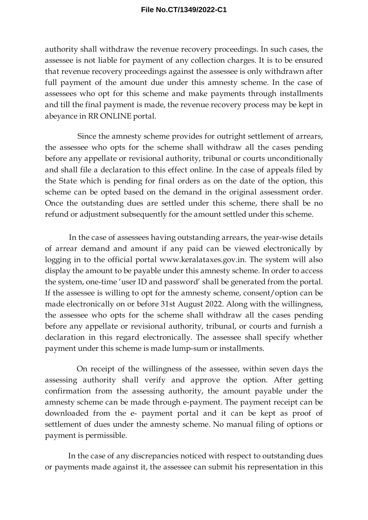## **File No.CT/1349/2022-C1**

authority shall withdraw the revenue recovery proceedings. In such cases, the assessee is not liable for payment of any collection charges. It is to be ensured that revenue recovery proceedings against the assessee is only withdrawn after full payment of the amount due under this amnesty scheme. In the case of assessees who opt for this scheme and make payments through installments and till the final payment is made, the revenue recovery process may be kept in abeyance in RR ONLINE portal.

Since the amnesty scheme provides for outright settlement of arrears, the assessee who opts for the scheme shall withdraw all the cases pending before any appellate or revisional authority, tribunal or courts unconditionally and shall file a declaration to this effect online. In the case of appeals filed by the State which is pending for final orders as on the date of the option, this scheme can be opted based on the demand in the original assessment order. Once the outstanding dues are settled under this scheme, there shall be no refund or adjustment subsequently for the amount settled under this scheme.

In the case of assessees having outstanding arrears, the year-wise details of arrear demand and amount if any paid can be viewed electronically by logging in to the official portal www.keralataxes.gov.in. The system will also display the amount to be payable under this amnesty scheme. In order to access the system, one-time 'user ID and password' shall be generated from the portal. If the assessee is willing to opt for the amnesty scheme, consent/option can be made electronically on or before 31st August 2022. Along with the willingness, the assessee who opts for the scheme shall withdraw all the cases pending before any appellate or revisional authority, tribunal, or courts and furnish a declaration in this regard electronically. The assessee shall specify whether payment under this scheme is made lump-sum or installments.

On receipt of the willingness of the assessee, within seven days the assessing authority shall verify and approve the option. After getting confirmation from the assessing authority, the amount payable under the amnesty scheme can be made through e-payment. The payment receipt can be downloaded from the e- payment portal and it can be kept as proof of settlement of dues under the amnesty scheme. No manual filing of options or payment is permissible.

In the case of any discrepancies noticed with respect to outstanding dues or payments made against it, the assessee can submit his representation in this